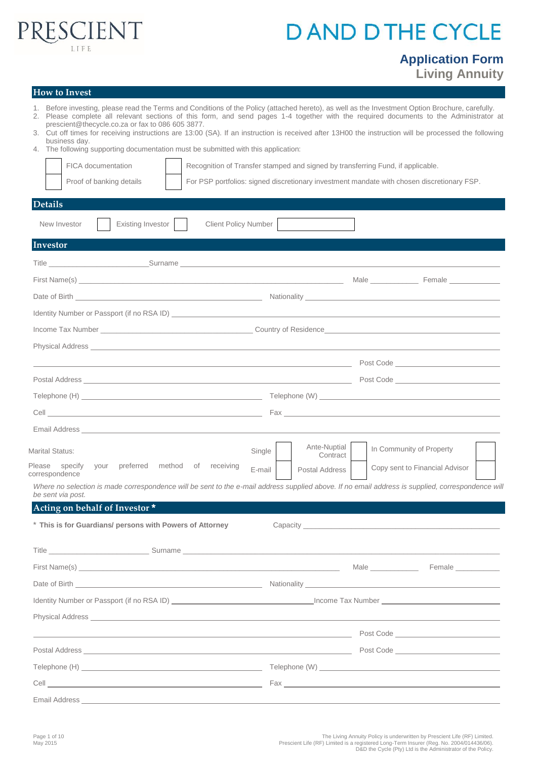

# **DAND DTHE CYCLE**

# **Application Form**

**Living Annuity**

# **How to Invest**

- 1. Before investing, please read the Terms and Conditions of the Policy (attached hereto), as well as the Investment Option Brochure, carefully.<br>2. Please complete all relevant sections of this form, and send pages 1-4 tog 2. Please complete all relevant sections of this form, and send pages 1-4 together with the required documents to the Administrator at
- [prescient@thecycle.co.za](mailto:prescient@thecycle.co.za) or fax to 086 605 3877.
- 3. Cut off times for receiving instructions are 13:00 (SA). If an instruction is received after 13H00 the instruction will be processed the following business day.
- 4. The following supporting documentation must be submitted with this application:

| <b>FICA</b> documentation                                                                                                                                                                                                            |                          | Recognition of Transfer stamped and signed by transferring Fund, if applicable.            |
|--------------------------------------------------------------------------------------------------------------------------------------------------------------------------------------------------------------------------------------|--------------------------|--------------------------------------------------------------------------------------------|
| Proof of banking details                                                                                                                                                                                                             |                          | For PSP portfolios: signed discretionary investment mandate with chosen discretionary FSP. |
| <b>Details</b>                                                                                                                                                                                                                       |                          |                                                                                            |
| <b>Existing Investor</b><br>New Investor<br><b>Client Policy Number</b>                                                                                                                                                              |                          |                                                                                            |
| Investor                                                                                                                                                                                                                             |                          |                                                                                            |
| Title _________________________________Surname _________________________________                                                                                                                                                     |                          |                                                                                            |
|                                                                                                                                                                                                                                      |                          |                                                                                            |
|                                                                                                                                                                                                                                      |                          |                                                                                            |
|                                                                                                                                                                                                                                      |                          |                                                                                            |
|                                                                                                                                                                                                                                      |                          |                                                                                            |
|                                                                                                                                                                                                                                      |                          |                                                                                            |
|                                                                                                                                                                                                                                      |                          |                                                                                            |
|                                                                                                                                                                                                                                      |                          |                                                                                            |
|                                                                                                                                                                                                                                      |                          |                                                                                            |
|                                                                                                                                                                                                                                      |                          |                                                                                            |
|                                                                                                                                                                                                                                      |                          |                                                                                            |
| Marital Status:<br>Single                                                                                                                                                                                                            | Ante-Nuptial<br>Contract | In Community of Property                                                                   |
| Please<br>your preferred method of receiving<br>specify<br>E-mail<br>correspondence                                                                                                                                                  | <b>Postal Address</b>    | Copy sent to Financial Advisor                                                             |
| Where no selection is made correspondence will be sent to the e-mail address supplied above. If no email address is supplied, correspondence will<br>be sent via post.                                                               |                          |                                                                                            |
| Acting on behalf of Investor *                                                                                                                                                                                                       |                          |                                                                                            |
| * This is for Guardians/ persons with Powers of Attorney                                                                                                                                                                             |                          |                                                                                            |
|                                                                                                                                                                                                                                      |                          |                                                                                            |
| Title Surname Surname Surname                                                                                                                                                                                                        |                          |                                                                                            |
|                                                                                                                                                                                                                                      |                          | Male <b>Example 19</b> Female                                                              |
|                                                                                                                                                                                                                                      |                          |                                                                                            |
|                                                                                                                                                                                                                                      |                          |                                                                                            |
| Physical Address <b>contract and the contract of the contract of the contract of the contract of the contract of the contract of the contract of the contract of the contract of the contract of the contract of the contract of</b> |                          |                                                                                            |
|                                                                                                                                                                                                                                      |                          |                                                                                            |
|                                                                                                                                                                                                                                      |                          |                                                                                            |
|                                                                                                                                                                                                                                      |                          |                                                                                            |
|                                                                                                                                                                                                                                      |                          |                                                                                            |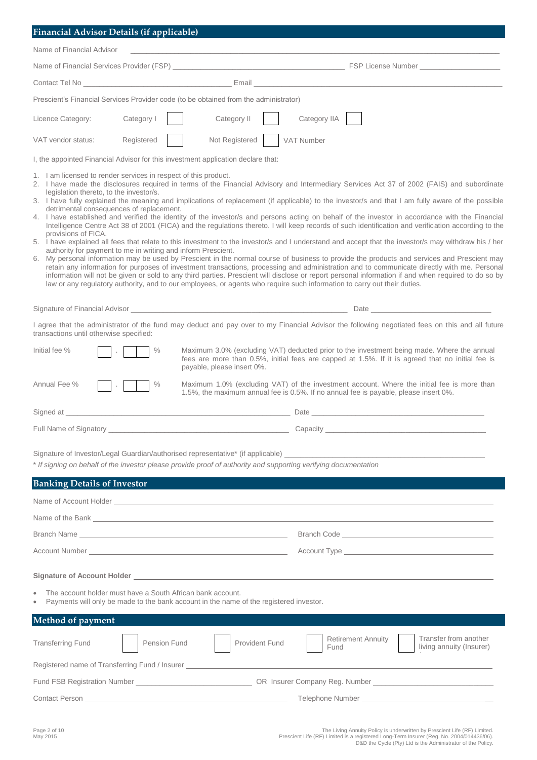| Financial Advisor Details (if applicable)                                                                                                                                                                                                     |              |                                                                                                                          |                |                                   |                                                                                                                                                                                                                                                                                                                                                                                                                                                                                                                                                                                                                                                                                                                                                                                                                                                                                                                                                                                                                                                                                                                                                                                                                        |
|-----------------------------------------------------------------------------------------------------------------------------------------------------------------------------------------------------------------------------------------------|--------------|--------------------------------------------------------------------------------------------------------------------------|----------------|-----------------------------------|------------------------------------------------------------------------------------------------------------------------------------------------------------------------------------------------------------------------------------------------------------------------------------------------------------------------------------------------------------------------------------------------------------------------------------------------------------------------------------------------------------------------------------------------------------------------------------------------------------------------------------------------------------------------------------------------------------------------------------------------------------------------------------------------------------------------------------------------------------------------------------------------------------------------------------------------------------------------------------------------------------------------------------------------------------------------------------------------------------------------------------------------------------------------------------------------------------------------|
| Name of Financial Advisor                                                                                                                                                                                                                     |              |                                                                                                                          |                |                                   |                                                                                                                                                                                                                                                                                                                                                                                                                                                                                                                                                                                                                                                                                                                                                                                                                                                                                                                                                                                                                                                                                                                                                                                                                        |
|                                                                                                                                                                                                                                               |              |                                                                                                                          |                |                                   |                                                                                                                                                                                                                                                                                                                                                                                                                                                                                                                                                                                                                                                                                                                                                                                                                                                                                                                                                                                                                                                                                                                                                                                                                        |
| Contact Tel No <b>Email</b> Email Email                                                                                                                                                                                                       |              |                                                                                                                          |                |                                   |                                                                                                                                                                                                                                                                                                                                                                                                                                                                                                                                                                                                                                                                                                                                                                                                                                                                                                                                                                                                                                                                                                                                                                                                                        |
| Prescient's Financial Services Provider code (to be obtained from the administrator)                                                                                                                                                          |              |                                                                                                                          |                |                                   |                                                                                                                                                                                                                                                                                                                                                                                                                                                                                                                                                                                                                                                                                                                                                                                                                                                                                                                                                                                                                                                                                                                                                                                                                        |
| Licence Category:                                                                                                                                                                                                                             | Category I   | Category II                                                                                                              | Category IIA   |                                   |                                                                                                                                                                                                                                                                                                                                                                                                                                                                                                                                                                                                                                                                                                                                                                                                                                                                                                                                                                                                                                                                                                                                                                                                                        |
| VAT vendor status:                                                                                                                                                                                                                            | Registered   | Not Registered                                                                                                           | VAT Number     |                                   |                                                                                                                                                                                                                                                                                                                                                                                                                                                                                                                                                                                                                                                                                                                                                                                                                                                                                                                                                                                                                                                                                                                                                                                                                        |
| I, the appointed Financial Advisor for this investment application declare that:                                                                                                                                                              |              |                                                                                                                          |                |                                   |                                                                                                                                                                                                                                                                                                                                                                                                                                                                                                                                                                                                                                                                                                                                                                                                                                                                                                                                                                                                                                                                                                                                                                                                                        |
| 1. I am licensed to render services in respect of this product.<br>legislation thereto, to the investor/s.<br>detrimental consequences of replacement.<br>provisions of FICA.<br>authority for payment to me in writing and inform Prescient. |              | law or any regulatory authority, and to our employees, or agents who require such information to carry out their duties. |                |                                   | 2. I have made the disclosures required in terms of the Financial Advisory and Intermediary Services Act 37 of 2002 (FAIS) and subordinate<br>3. I have fully explained the meaning and implications of replacement (if applicable) to the investor/s and that I am fully aware of the possible<br>4. I have established and verified the identity of the investor/s and persons acting on behalf of the investor in accordance with the Financial<br>Intelligence Centre Act 38 of 2001 (FICA) and the regulations thereto. I will keep records of such identification and verification according to the<br>5. I have explained all fees that relate to this investment to the investor/s and I understand and accept that the investor/s may withdraw his / her<br>6. My personal information may be used by Prescient in the normal course of business to provide the products and services and Prescient may<br>retain any information for purposes of investment transactions, processing and administration and to communicate directly with me. Personal<br>information will not be given or sold to any third parties. Prescient will disclose or report personal information if and when required to do so by |
| Signature of Financial Advisor experience and the state of the state of the state of the state of the state of                                                                                                                                |              |                                                                                                                          |                |                                   | Date and the contract of the contract of the contract of the contract of the contract of the contract of the contract of the contract of the contract of the contract of the contract of the contract of the contract of the c                                                                                                                                                                                                                                                                                                                                                                                                                                                                                                                                                                                                                                                                                                                                                                                                                                                                                                                                                                                         |
| transactions until otherwise specified:                                                                                                                                                                                                       |              |                                                                                                                          |                |                                   | I agree that the administrator of the fund may deduct and pay over to my Financial Advisor the following negotiated fees on this and all future                                                                                                                                                                                                                                                                                                                                                                                                                                                                                                                                                                                                                                                                                                                                                                                                                                                                                                                                                                                                                                                                        |
| Initial fee %<br>Annual Fee %                                                                                                                                                                                                                 | $\%$<br>$\%$ | payable, please insert 0%.<br>1.5%, the maximum annual fee is 0.5%. If no annual fee is payable, please insert 0%.       |                |                                   | Maximum 3.0% (excluding VAT) deducted prior to the investment being made. Where the annual<br>fees are more than 0.5%, initial fees are capped at 1.5%. If it is agreed that no initial fee is<br>Maximum 1.0% (excluding VAT) of the investment account. Where the initial fee is more than                                                                                                                                                                                                                                                                                                                                                                                                                                                                                                                                                                                                                                                                                                                                                                                                                                                                                                                           |
| Signed at                                                                                                                                                                                                                                     |              |                                                                                                                          | Date           |                                   |                                                                                                                                                                                                                                                                                                                                                                                                                                                                                                                                                                                                                                                                                                                                                                                                                                                                                                                                                                                                                                                                                                                                                                                                                        |
| Full Name of Signatory                                                                                                                                                                                                                        |              |                                                                                                                          | Capacity       |                                   |                                                                                                                                                                                                                                                                                                                                                                                                                                                                                                                                                                                                                                                                                                                                                                                                                                                                                                                                                                                                                                                                                                                                                                                                                        |
| * If signing on behalf of the investor please provide proof of authority and supporting verifying documentation<br><b>Banking Details of Investor</b>                                                                                         |              |                                                                                                                          |                |                                   |                                                                                                                                                                                                                                                                                                                                                                                                                                                                                                                                                                                                                                                                                                                                                                                                                                                                                                                                                                                                                                                                                                                                                                                                                        |
| Name of Account Holder <b>contract and the Contract of Account Account of Account Holder</b>                                                                                                                                                  |              |                                                                                                                          |                |                                   |                                                                                                                                                                                                                                                                                                                                                                                                                                                                                                                                                                                                                                                                                                                                                                                                                                                                                                                                                                                                                                                                                                                                                                                                                        |
| Name of the Bank Learner and the contract of the Bank Learner and the contract of the Bank Learner and the contract of the Bank Learner and the contract of the contract of the contract of the contract of the contract of th                |              |                                                                                                                          |                |                                   |                                                                                                                                                                                                                                                                                                                                                                                                                                                                                                                                                                                                                                                                                                                                                                                                                                                                                                                                                                                                                                                                                                                                                                                                                        |
|                                                                                                                                                                                                                                               |              |                                                                                                                          |                |                                   |                                                                                                                                                                                                                                                                                                                                                                                                                                                                                                                                                                                                                                                                                                                                                                                                                                                                                                                                                                                                                                                                                                                                                                                                                        |
|                                                                                                                                                                                                                                               |              |                                                                                                                          |                |                                   |                                                                                                                                                                                                                                                                                                                                                                                                                                                                                                                                                                                                                                                                                                                                                                                                                                                                                                                                                                                                                                                                                                                                                                                                                        |
|                                                                                                                                                                                                                                               |              |                                                                                                                          |                |                                   |                                                                                                                                                                                                                                                                                                                                                                                                                                                                                                                                                                                                                                                                                                                                                                                                                                                                                                                                                                                                                                                                                                                                                                                                                        |
| The account holder must have a South African bank account.<br>$\bullet$                                                                                                                                                                       |              | Payments will only be made to the bank account in the name of the registered investor.                                   |                |                                   |                                                                                                                                                                                                                                                                                                                                                                                                                                                                                                                                                                                                                                                                                                                                                                                                                                                                                                                                                                                                                                                                                                                                                                                                                        |
| Method of payment                                                                                                                                                                                                                             |              |                                                                                                                          |                |                                   |                                                                                                                                                                                                                                                                                                                                                                                                                                                                                                                                                                                                                                                                                                                                                                                                                                                                                                                                                                                                                                                                                                                                                                                                                        |
| <b>Transferring Fund</b>                                                                                                                                                                                                                      | Pension Fund |                                                                                                                          | Provident Fund | <b>Retirement Annuity</b><br>Fund | Transfer from another<br>living annuity (Insurer)                                                                                                                                                                                                                                                                                                                                                                                                                                                                                                                                                                                                                                                                                                                                                                                                                                                                                                                                                                                                                                                                                                                                                                      |
| Registered name of Transferring Fund / Insurer _________________________________                                                                                                                                                              |              |                                                                                                                          |                |                                   |                                                                                                                                                                                                                                                                                                                                                                                                                                                                                                                                                                                                                                                                                                                                                                                                                                                                                                                                                                                                                                                                                                                                                                                                                        |
|                                                                                                                                                                                                                                               |              |                                                                                                                          |                |                                   |                                                                                                                                                                                                                                                                                                                                                                                                                                                                                                                                                                                                                                                                                                                                                                                                                                                                                                                                                                                                                                                                                                                                                                                                                        |
|                                                                                                                                                                                                                                               |              |                                                                                                                          |                |                                   |                                                                                                                                                                                                                                                                                                                                                                                                                                                                                                                                                                                                                                                                                                                                                                                                                                                                                                                                                                                                                                                                                                                                                                                                                        |
|                                                                                                                                                                                                                                               |              |                                                                                                                          |                |                                   |                                                                                                                                                                                                                                                                                                                                                                                                                                                                                                                                                                                                                                                                                                                                                                                                                                                                                                                                                                                                                                                                                                                                                                                                                        |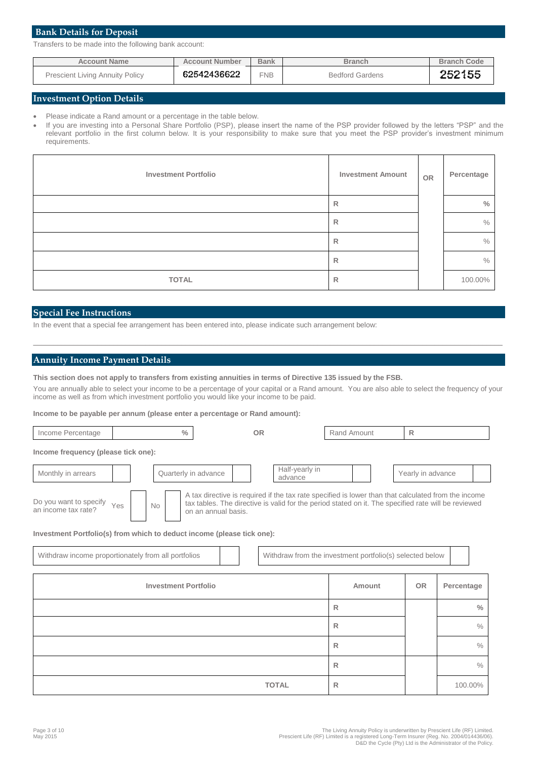# **Bank Details for Deposit**

Transfers to be made into the following bank account:

| <b>Account Name</b>                    | <b>Account Number</b> | <b>Bank</b> | <b>Branch</b>          | <b>Branch Code</b> |
|----------------------------------------|-----------------------|-------------|------------------------|--------------------|
| <b>Prescient Living Annuity Policy</b> | 62542436622           | <b>FNB</b>  | <b>Bedford Gardens</b> | 252155             |

### **Investment Option Details**

Please indicate a Rand amount or a percentage in the table below.

• If you are investing into a Personal Share Portfolio (PSP), please insert the name of the PSP provider followed by the letters "PSP" and the relevant portfolio in the first column below. It is your responsibility to make sure that you meet the PSP provider's investment minimum requirements.

| <b>Investment Portfolio</b> | <b>Investment Amount</b> | <b>OR</b> | Percentage |
|-----------------------------|--------------------------|-----------|------------|
|                             | $\mathsf{R}$             |           | $\%$       |
|                             | $\mathsf{R}$             |           | $\%$       |
|                             | $\mathsf{R}$             |           | $\%$       |
|                             | $\mathsf{R}$             |           | $\%$       |
| <b>TOTAL</b>                | $\mathsf{R}$             |           | 100.00%    |

# **Special Fee Instructions**

In the event that a special fee arrangement has been entered into, please indicate such arrangement below:

### **Annuity Income Payment Details**

**This section does not apply to transfers from existing annuities in terms of Directive 135 issued by the FSB.** You are annually able to select your income to be a percentage of your capital or a Rand amount. You are also able to select the frequency of your income as well as from which investment portfolio you would like your income to be paid.

 $\_$  ,  $\_$  ,  $\_$  ,  $\_$  ,  $\_$  ,  $\_$  ,  $\_$  ,  $\_$  ,  $\_$  ,  $\_$  ,  $\_$  ,  $\_$  ,  $\_$  ,  $\_$  ,  $\_$  ,  $\_$  ,  $\_$  ,  $\_$  ,  $\_$  ,  $\_$  ,  $\_$  ,  $\_$  ,  $\_$  ,  $\_$  ,  $\_$  ,  $\_$  ,  $\_$  ,  $\_$  ,  $\_$  ,  $\_$  ,  $\_$  ,  $\_$  ,  $\_$  ,  $\_$  ,  $\_$  ,  $\_$  ,  $\_$  ,

**Income to be payable per annum (please enter a percentage or Rand amount):**

| Income Percentage                             | $\frac{0}{0}$ |           | <b>OR</b> |                      | Rand Amount |                           |  |  |                                                                                                                                                                                                            |  |
|-----------------------------------------------|---------------|-----------|-----------|----------------------|-------------|---------------------------|--|--|------------------------------------------------------------------------------------------------------------------------------------------------------------------------------------------------------------|--|
| Income frequency (please tick one):           |               |           |           |                      |             |                           |  |  |                                                                                                                                                                                                            |  |
| Monthly in arrears                            |               |           |           | Quarterly in advance |             | Half-yearly in<br>advance |  |  | Yearly in advance                                                                                                                                                                                          |  |
| Do you want to specify<br>an income tax rate? | Yes           | <b>No</b> |           | on an annual basis.  |             |                           |  |  | A tax directive is required if the tax rate specified is lower than that calculated from the income<br>tax tables. The directive is valid for the period stated on it. The specified rate will be reviewed |  |

#### **Investment Portfolio(s) from which to deduct income (please tick one):**

| Withdraw income proportionately from all portfolios | Withdraw from the investment portfolio(s) selected below |        |           |               |  |
|-----------------------------------------------------|----------------------------------------------------------|--------|-----------|---------------|--|
| <b>Investment Portfolio</b>                         |                                                          | Amount | <b>OR</b> | Percentage    |  |
|                                                     |                                                          | R      |           | $\frac{0}{0}$ |  |
|                                                     |                                                          | R      |           | $\%$          |  |
|                                                     |                                                          | R      |           | $\%$          |  |
|                                                     |                                                          | R      |           | $\%$          |  |
|                                                     | <b>TOTAL</b>                                             | R      |           | 100.00%       |  |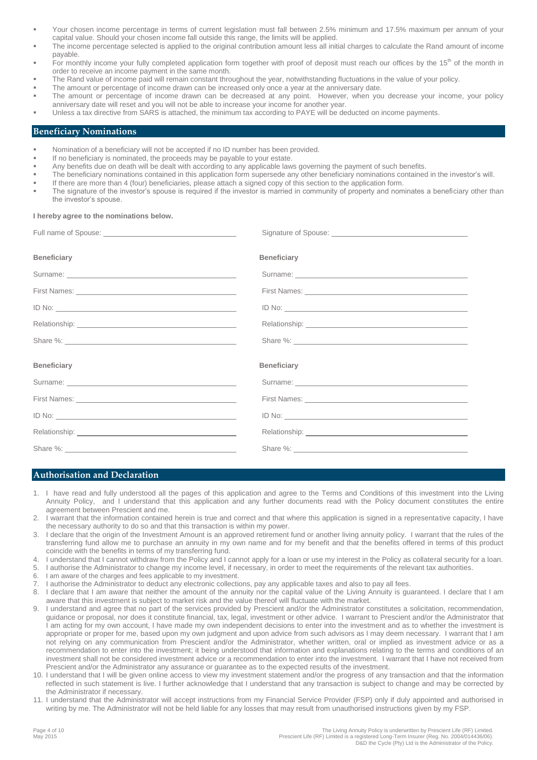- Your chosen income percentage in terms of current legislation must fall between 2.5% minimum and 17.5% maximum per annum of your capital value. Should your chosen income fall outside this range, the limits will be applied.
- The income percentage selected is applied to the original contribution amount less all initial charges to calculate the Rand amount of income payable.
- For monthly income your fully completed application form together with proof of deposit must reach our offices by the 15<sup>th</sup> of the month in order to receive an income payment in the same month.
- The Rand value of income paid will remain constant throughout the year, notwithstanding fluctuations in the value of your policy.
- The amount or percentage of income drawn can be increased only once a year at the anniversary date.
- The amount or percentage of income drawn can be decreased at any point. However, when you decrease your income, your policy anniversary date will reset and you will not be able to increase your income for another year.
- Unless a tax directive from SARS is attached, the minimum tax according to PAYE will be deducted on income payments.

#### **Beneficiary Nominations**

- Nomination of a beneficiary will not be accepted if no ID number has been provided.
- If no beneficiary is nominated, the proceeds may be payable to your estate.
- Any benefits due on death will be dealt with according to any applicable laws governing the payment of such benefits.
- The beneficiary nominations contained in this application form supersede any other beneficiary nominations contained in the investor's will.
- If there are more than 4 (four) beneficiaries, please attach a signed copy of this section to the application form.
- The signature of the investor's spouse is required if the investor is married in community of property and nominates a beneficiary other than the investor's spouse.

#### **I hereby agree to the nominations below.**

|                    | Signature of Spouse: <u>contract and the set of Spouse and Spouse and Spouse and Spouse and Spouse and Spouse and Spouse and Spouse and Spouse and Spouse and Spouse and Spouse and Spouse and Spouse and Spouse and Spouse and </u> |  |  |
|--------------------|--------------------------------------------------------------------------------------------------------------------------------------------------------------------------------------------------------------------------------------|--|--|
| <b>Beneficiary</b> | <b>Beneficiary</b>                                                                                                                                                                                                                   |  |  |
|                    |                                                                                                                                                                                                                                      |  |  |
|                    |                                                                                                                                                                                                                                      |  |  |
|                    |                                                                                                                                                                                                                                      |  |  |
|                    |                                                                                                                                                                                                                                      |  |  |
|                    |                                                                                                                                                                                                                                      |  |  |
| <b>Beneficiary</b> | <b>Beneficiary</b>                                                                                                                                                                                                                   |  |  |
|                    |                                                                                                                                                                                                                                      |  |  |
|                    |                                                                                                                                                                                                                                      |  |  |
|                    |                                                                                                                                                                                                                                      |  |  |
|                    |                                                                                                                                                                                                                                      |  |  |
|                    |                                                                                                                                                                                                                                      |  |  |

# **Authorisation and Declaration**

- 1. I have read and fully understood all the pages of this application and agree to the Terms and Conditions of this investment into the Living Annuity Policy, and I understand that this application and any further documents read with the Policy document constitutes the entire agreement between Prescient and me.
- 2. I warrant that the information contained herein is true and correct and that where this application is signed in a representative capacity, I have the necessary authority to do so and that this transaction is within my power.
- 3. I declare that the origin of the Investment Amount is an approved retirement fund or another living annuity policy. I warrant that the rules of the transferring fund allow me to purchase an annuity in my own name and for my benefit and that the benefits offered in terms of this product coincide with the benefits in terms of my transferring fund.
- 4. I understand that I cannot withdraw from the Policy and I cannot apply for a loan or use my interest in the Policy as collateral security for a loan.
- 5. I authorise the Administrator to change my income level, if necessary, in order to meet the requirements of the relevant tax authorities.
- 6. I am aware of the charges and fees applicable to my investment.
- 7. I authorise the Administrator to deduct any electronic collections, pay any applicable taxes and also to pay all fees.
- 8. I declare that I am aware that neither the amount of the annuity nor the capital value of the Living Annuity is guaranteed. I declare that I am aware that this investment is subject to market risk and the value thereof will fluctuate with the market.
- 9. I understand and agree that no part of the services provided by Prescient and/or the Administrator constitutes a solicitation, recommendation, guidance or proposal, nor does it constitute financial, tax, legal, investment or other advice. I warrant to Prescient and/or the Administrator that I am acting for my own account, I have made my own independent decisions to enter into the investment and as to whether the investment is appropriate or proper for me, based upon my own judgment and upon advice from such advisors as I may deem necessary. I warrant that I am not relying on any communication from Prescient and/or the Administrator, whether written, oral or implied as investment advice or as a recommendation to enter into the investment; it being understood that information and explanations relating to the terms and conditions of an investment shall not be considered investment advice or a recommendation to enter into the investment. I warrant that I have not received from Prescient and/or the Administrator any assurance or guarantee as to the expected results of the investment.
- 10. I understand that I will be given online access to view my investment statement and/or the progress of any transaction and that the information reflected in such statement is live. I further acknowledge that I understand that any transaction is subject to change and may be corrected by the Administrator if necessary.
- 11. I understand that the Administrator will accept instructions from my Financial Service Provider (FSP) only if duly appointed and authorised in writing by me. The Administrator will not be held liable for any losses that may result from unauthorised instructions given by my FSP.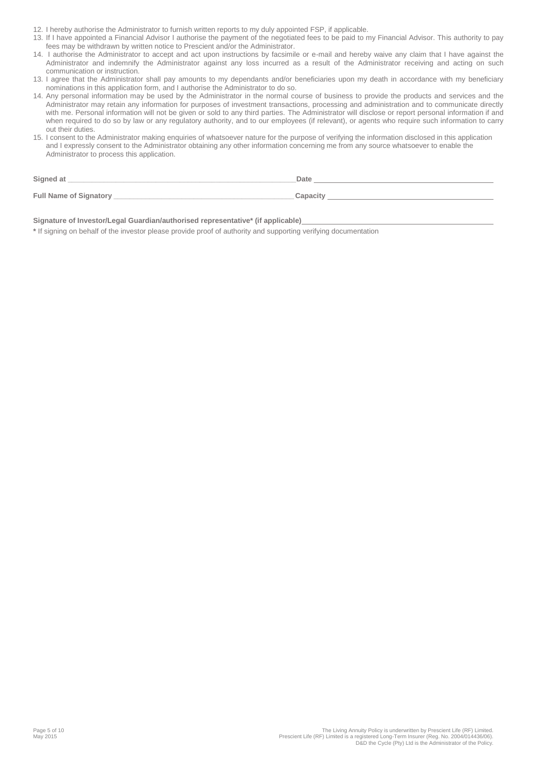- 12. I hereby authorise the Administrator to furnish written reports to my duly appointed FSP, if applicable.
- 13. If I have appointed a Financial Advisor I authorise the payment of the negotiated fees to be paid to my Financial Advisor. This authority to pay fees may be withdrawn by written notice to Prescient and/or the Administrator.
- 14. I authorise the Administrator to accept and act upon instructions by facsimile or e-mail and hereby waive any claim that I have against the Administrator and indemnify the Administrator against any loss incurred as a result of the Administrator receiving and acting on such communication or instruction.
- 13. I agree that the Administrator shall pay amounts to my dependants and/or beneficiaries upon my death in accordance with my beneficiary nominations in this application form, and I authorise the Administrator to do so.
- 14. Any personal information may be used by the Administrator in the normal course of business to provide the products and services and the Administrator may retain any information for purposes of investment transactions, processing and administration and to communicate directly with me. Personal information will not be given or sold to any third parties. The Administrator will disclose or report personal information if and when required to do so by law or any regulatory authority, and to our employees (if relevant), or agents who require such information to carry out their duties.
- 15. I consent to the Administrator making enquiries of whatsoever nature for the purpose of verifying the information disclosed in this application and I expressly consent to the Administrator obtaining any other information concerning me from any source whatsoever to enable the Administrator to process this application.

| Signed at              | Date            |
|------------------------|-----------------|
| Full Name of Signatory | <b>Capacity</b> |

**Signature of Investor/Legal Guardian/authorised representative\* (if applicable)**

**\*** If signing on behalf of the investor please provide proof of authority and supporting verifying documentation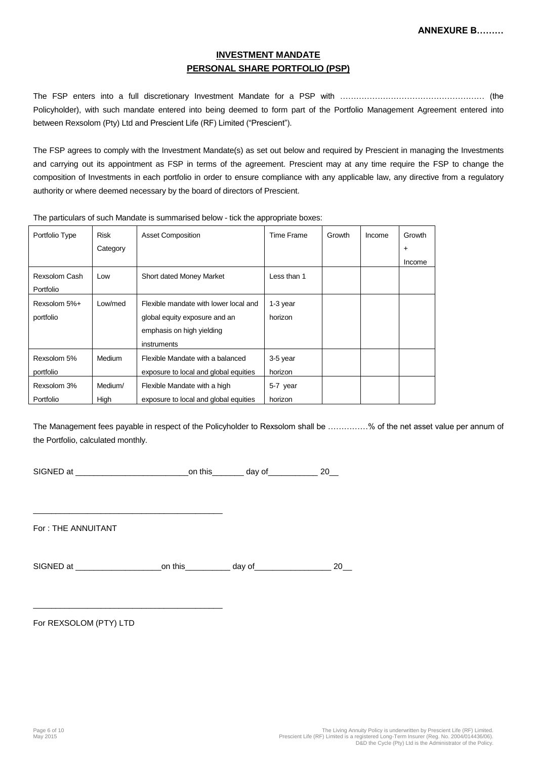# **INVESTMENT MANDATE PERSONAL SHARE PORTFOLIO (PSP)**

The FSP enters into a full discretionary Investment Mandate for a PSP with ……………………………………………… (the Policyholder), with such mandate entered into being deemed to form part of the Portfolio Management Agreement entered into between Rexsolom (Pty) Ltd and Prescient Life (RF) Limited ("Prescient").

The FSP agrees to comply with the Investment Mandate(s) as set out below and required by Prescient in managing the Investments and carrying out its appointment as FSP in terms of the agreement. Prescient may at any time require the FSP to change the composition of Investments in each portfolio in order to ensure compliance with any applicable law, any directive from a regulatory authority or where deemed necessary by the board of directors of Prescient.

Portfolio Type | Risk **Category** Asset Composition Time Frame Growth Income Growth + Income Rexsolom Cash Portfolio Low Short dated Money Market | Less than 1 Rexsolom 5%+ portfolio Low/med Flexible mandate with lower local and global equity exposure and an emphasis on high yielding instruments 1-3 year horizon Rexsolom 5% portfolio Medium Flexible Mandate with a balanced exposure to local and global equities 3-5 year horizon Rexsolom 3% Portfolio Medium/ High Flexible Mandate with a high exposure to local and global equities 5-7 year horizon

The particulars of such Mandate is summarised below - tick the appropriate boxes:

The Management fees payable in respect of the Policyholder to Rexsolom shall be ……………% of the net asset value per annum of the Portfolio, calculated monthly.

| <b>SIGNED</b> | ٦r |  |  |
|---------------|----|--|--|
|---------------|----|--|--|

For : THE ANNUITANT

\_\_\_\_\_\_\_\_\_\_\_\_\_\_\_\_\_\_\_\_\_\_\_\_\_\_\_\_\_\_\_\_\_\_\_\_\_\_\_\_\_\_

\_\_\_\_\_\_\_\_\_\_\_\_\_\_\_\_\_\_\_\_\_\_\_\_\_\_\_\_\_\_\_\_\_\_\_\_\_\_\_\_\_\_

SIGNED at \_\_\_\_\_\_\_\_\_\_\_\_\_\_\_\_\_\_\_on this\_\_\_\_\_\_\_\_\_\_ day of\_\_\_\_\_\_\_\_\_\_\_\_\_\_\_\_\_ 20\_\_

For REXSOLOM (PTY) LTD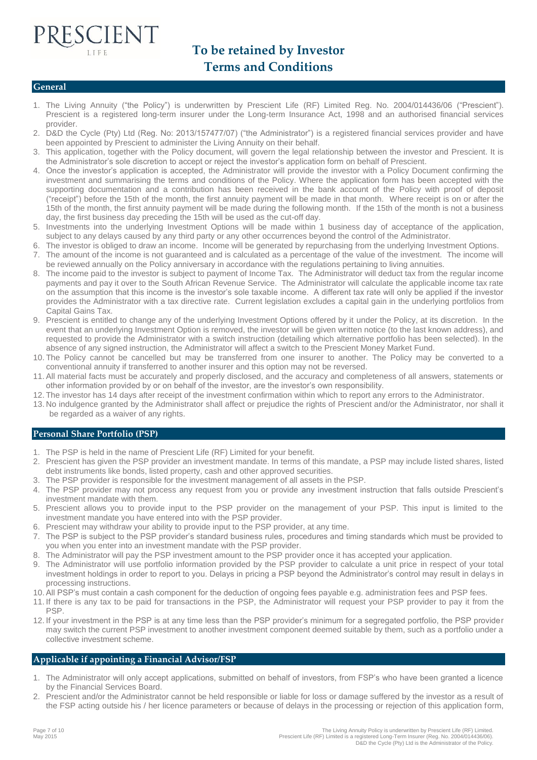# **To be retained by Investor Terms and Conditions**

# **General**

ESCIENT

- 1. The Living Annuity ("the Policy") is underwritten by Prescient Life (RF) Limited Reg. No. 2004/014436/06 ("Prescient"). Prescient is a registered long-term insurer under the Long-term Insurance Act, 1998 and an authorised financial services provider.
- 2. D&D the Cycle (Pty) Ltd (Reg. No: 2013/157477/07) ("the Administrator") is a registered financial services provider and have been appointed by Prescient to administer the Living Annuity on their behalf.
- 3. This application, together with the Policy document, will govern the legal relationship between the investor and Prescient. It is the Administrator's sole discretion to accept or reject the investor's application form on behalf of Prescient.
- 4. Once the investor's application is accepted, the Administrator will provide the investor with a Policy Document confirming the investment and summarising the terms and conditions of the Policy. Where the application form has been accepted with the supporting documentation and a contribution has been received in the bank account of the Policy with proof of deposit ("receipt") before the 15th of the month, the first annuity payment will be made in that month. Where receipt is on or after the 15th of the month, the first annuity payment will be made during the following month. If the 15th of the month is not a business day, the first business day preceding the 15th will be used as the cut-off day.
- 5. Investments into the underlying Investment Options will be made within 1 business day of acceptance of the application, subject to any delays caused by any third party or any other occurrences beyond the control of the Administrator.
- 6. The investor is obliged to draw an income. Income will be generated by repurchasing from the underlying Investment Options.
- 7. The amount of the income is not guaranteed and is calculated as a percentage of the value of the investment. The income will be reviewed annually on the Policy anniversary in accordance with the regulations pertaining to living annuities.
- 8. The income paid to the investor is subject to payment of Income Tax. The Administrator will deduct tax from the regular income payments and pay it over to the South African Revenue Service. The Administrator will calculate the applicable income tax rate on the assumption that this income is the investor's sole taxable income. A different tax rate will only be applied if the investor provides the Administrator with a tax directive rate. Current legislation excludes a capital gain in the underlying portfolios from Capital Gains Tax.
- 9. Prescient is entitled to change any of the underlying Investment Options offered by it under the Policy, at its discretion. In the event that an underlying Investment Option is removed, the investor will be given written notice (to the last known address), and requested to provide the Administrator with a switch instruction (detailing which alternative portfolio has been selected). In the absence of any signed instruction, the Administrator will affect a switch to the Prescient Money Market Fund.
- 10. The Policy cannot be cancelled but may be transferred from one insurer to another. The Policy may be converted to a conventional annuity if transferred to another insurer and this option may not be reversed.
- 11. All material facts must be accurately and properly disclosed, and the accuracy and completeness of all answers, statements or other information provided by or on behalf of the investor, are the investor's own responsibility.
- 12. The investor has 14 days after receipt of the investment confirmation within which to report any errors to the Administrator.
- 13. No indulgence granted by the Administrator shall affect or prejudice the rights of Prescient and/or the Administrator, nor shall it be regarded as a waiver of any rights.

# **Personal Share Portfolio (PSP)**

- 1. The PSP is held in the name of Prescient Life (RF) Limited for your benefit.
- 2. Prescient has given the PSP provider an investment mandate. In terms of this mandate, a PSP may include listed shares, listed debt instruments like bonds, listed property, cash and other approved securities.
- 3. The PSP provider is responsible for the investment management of all assets in the PSP.
- 4. The PSP provider may not process any request from you or provide any investment instruction that falls outside Prescient's investment mandate with them.
- 5. Prescient allows you to provide input to the PSP provider on the management of your PSP. This input is limited to the investment mandate you have entered into with the PSP provider.
- 6. Prescient may withdraw your ability to provide input to the PSP provider, at any time.
- 7. The PSP is subject to the PSP provider's standard business rules, procedures and timing standards which must be provided to you when you enter into an investment mandate with the PSP provider.
- 8. The Administrator will pay the PSP investment amount to the PSP provider once it has accepted your application.
- 9. The Administrator will use portfolio information provided by the PSP provider to calculate a unit price in respect of your total investment holdings in order to report to you. Delays in pricing a PSP beyond the Administrator's control may result in delays in processing instructions.
- 10. All PSP's must contain a cash component for the deduction of ongoing fees payable e.g. administration fees and PSP fees.
- 11. If there is any tax to be paid for transactions in the PSP, the Administrator will request your PSP provider to pay it from the PSP.
- 12. If your investment in the PSP is at any time less than the PSP provider's minimum for a segregated portfolio, the PSP provider may switch the current PSP investment to another investment component deemed suitable by them, such as a portfolio under a collective investment scheme.

# **Applicable if appointing a Financial Advisor/FSP**

- The Administrator will only accept applications, submitted on behalf of investors, from FSP's who have been granted a licence by the Financial Services Board.
- Prescient and/or the Administrator cannot be held responsible or liable for loss or damage suffered by the investor as a result of the FSP acting outside his / her licence parameters or because of delays in the processing or rejection of this application form,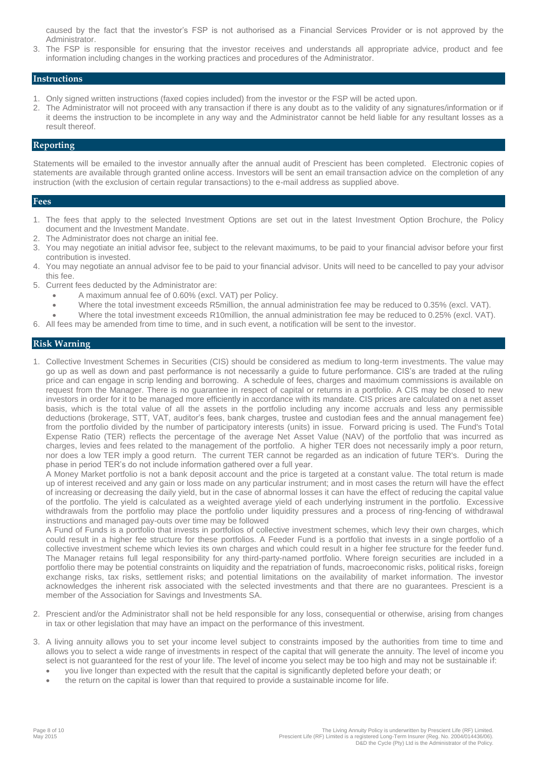caused by the fact that the investor's FSP is not authorised as a Financial Services Provider or is not approved by the Administrator.

3. The FSP is responsible for ensuring that the investor receives and understands all appropriate advice, product and fee information including changes in the working practices and procedures of the Administrator.

#### **Instructions**

- 1. Only signed written instructions (faxed copies included) from the investor or the FSP will be acted upon.
- 2. The Administrator will not proceed with any transaction if there is any doubt as to the validity of any signatures/information or if it deems the instruction to be incomplete in any way and the Administrator cannot be held liable for any resultant losses as a result thereof.

# **Reporting**

Statements will be emailed to the investor annually after the annual audit of Prescient has been completed. Electronic copies of statements are available through granted online access. Investors will be sent an email transaction advice on the completion of any instruction (with the exclusion of certain regular transactions) to the e-mail address as supplied above.

### **Fees**

- 1. The fees that apply to the selected Investment Options are set out in the latest Investment Option Brochure, the Policy document and the Investment Mandate.
- 2. The Administrator does not charge an initial fee.
- 3. You may negotiate an initial advisor fee, subject to the relevant maximums, to be paid to your financial advisor before your first contribution is invested.
- 4. You may negotiate an annual advisor fee to be paid to your financial advisor. Units will need to be cancelled to pay your advisor this fee.
- 5. Current fees deducted by the Administrator are:
	- A maximum annual fee of 0.60% (excl. VAT) per Policy.
	- Where the total investment exceeds R5million, the annual administration fee may be reduced to 0.35% (excl. VAT).
- Where the total investment exceeds R10million, the annual administration fee may be reduced to 0.25% (excl. VAT).
- All fees may be amended from time to time, and in such event, a notification will be sent to the investor.

# **Risk Warning**

1. Collective Investment Schemes in Securities (CIS) should be considered as medium to long-term investments. The value may go up as well as down and past performance is not necessarily a guide to future performance. CIS's are traded at the ruling price and can engage in scrip lending and borrowing. A schedule of fees, charges and maximum commissions is available on request from the Manager. There is no guarantee in respect of capital or returns in a portfolio. A CIS may be closed to new investors in order for it to be managed more efficiently in accordance with its mandate. CIS prices are calculated on a net asset basis, which is the total value of all the assets in the portfolio including any income accruals and less any permissible deductions (brokerage, STT, VAT, auditor's fees, bank charges, trustee and custodian fees and the annual management fee) from the portfolio divided by the number of participatory interests (units) in issue. Forward pricing is used. The Fund's Total Expense Ratio (TER) reflects the percentage of the average Net Asset Value (NAV) of the portfolio that was incurred as charges, levies and fees related to the management of the portfolio. A higher TER does not necessarily imply a poor return, nor does a low TER imply a good return. The current TER cannot be regarded as an indication of future TER's. During the phase in period TER's do not include information gathered over a full year.

A Money Market portfolio is not a bank deposit account and the price is targeted at a constant value. The total return is made up of interest received and any gain or loss made on any particular instrument; and in most cases the return will have the effect of increasing or decreasing the daily yield, but in the case of abnormal losses it can have the effect of reducing the capital value of the portfolio. The yield is calculated as a weighted average yield of each underlying instrument in the portfolio. Excessive withdrawals from the portfolio may place the portfolio under liquidity pressures and a process of ring-fencing of withdrawal instructions and managed pay-outs over time may be followed

A Fund of Funds is a portfolio that invests in portfolios of collective investment schemes, which levy their own charges, which could result in a higher fee structure for these portfolios. A Feeder Fund is a portfolio that invests in a single portfolio of a collective investment scheme which levies its own charges and which could result in a higher fee structure for the feeder fund. The Manager retains full legal responsibility for any third-party-named portfolio. Where foreign securities are included in a portfolio there may be potential constraints on liquidity and the repatriation of funds, macroeconomic risks, political risks, foreign exchange risks, tax risks, settlement risks; and potential limitations on the availability of market information. The investor acknowledges the inherent risk associated with the selected investments and that there are no guarantees. Prescient is a member of the Association for Savings and Investments SA.

- 2. Prescient and/or the Administrator shall not be held responsible for any loss, consequential or otherwise, arising from changes in tax or other legislation that may have an impact on the performance of this investment.
- 3. A living annuity allows you to set your income level subject to constraints imposed by the authorities from time to time and allows you to select a wide range of investments in respect of the capital that will generate the annuity. The level of income you select is not guaranteed for the rest of your life. The level of income you select may be too high and may not be sustainable if:
	- you live longer than expected with the result that the capital is significantly depleted before your death; or
	- the return on the capital is lower than that required to provide a sustainable income for life.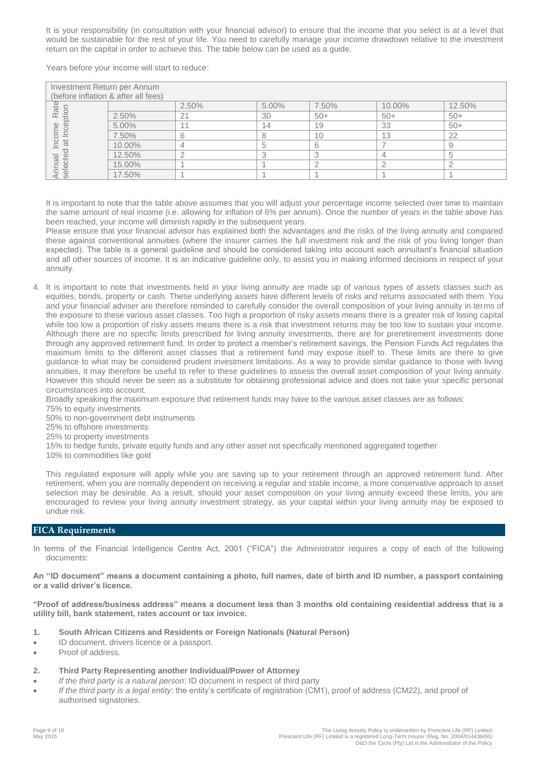It is your responsibility (in consultation with your financial advisor) to ensure that the income that you select is at a level that would be sustainable for the rest of your life. You need to carefully manage your income drawdown relative to the investment return on the capital in order to achieve this. The table below can be used as a guide.

Years before your income will start to reduce:

| Investment Return per Annum         |        |       |       |       |        |        |
|-------------------------------------|--------|-------|-------|-------|--------|--------|
| (before inflation & after all fees) |        |       |       |       |        |        |
| Rate                                |        | 2.50% | 5.00% | 7.50% | 10.00% | 12.50% |
| otion                               | 2.50%  | 21    | 30    | $50+$ | $50+$  | $50+$  |
| <b>ICE</b><br>$\underline{\omega}$  | 5.00%  | 11    | 14    | 19    | 33     | $50+$  |
|                                     | 7.50%  |       |       | 10    | 13     | 22     |
| ಸ                                   | 10.00% |       |       |       |        |        |
| ë<br>$\overline{a}$                 | 12.50% |       |       |       |        |        |
| Φ                                   | 15.00% |       |       |       |        |        |
| sel                                 | 17.50% |       |       |       |        |        |

It is important to note that the table above assumes that you will adjust your percentage income selected over time to maintain the same amount of real income (i.e. allowing for inflation of 6% per annum). Once the number of years in the table above has been reached, your income will diminish rapidly in the subsequent years.

Please ensure that your financial advisor has explained both the advantages and the risks of the living annuity and compared these against conventional annuities (where the insurer carries the full investment risk and the risk of you living longer than expected). The table is a general guideline and should be considered taking into account each annuitant's financial situation and all other sources of income. It is an indicative guideline only, to assist you in making informed decisions in respect of your annuity.

4. It is important to note that investments held in your living annuity are made up of various types of assets classes such as equities, bonds, property or cash. These underlying assets have different levels of risks and returns associated with them. You and your financial adviser are therefore reminded to carefully consider the overall composition of your living annuity in terms of the exposure to these various asset classes. Too high a proportion of risky assets means there is a greater risk of losing capital while too low a proportion of risky assets means there is a risk that investment returns may be too low to sustain your income. Although there are no specific limits prescribed for living annuity investments, there are for preretirement investments done through any approved retirement fund. In order to protect a member's retirement savings, the Pension Funds Act regulates the maximum limits to the different asset classes that a retirement fund may expose itself to. These limits are there to give guidance to what may be considered prudent investment limitations. As a way to provide similar guidance to those with living annuities, it may therefore be useful to refer to these guidelines to assess the overall asset composition of your living annuity. However this should never be seen as a substitute for obtaining professional advice and does not take your specific personal circumstances into account.

Broadly speaking the maximum exposure that retirement funds may have to the various asset classes are as follows:

75% to equity investments

50% to non-government debt instruments

25% to offshore investments

25% to property investments

15% to hedge funds, private equity funds and any other asset not specifically mentioned aggregated together

10% to commodities like gold

This regulated exposure will apply while you are saving up to your retirement through an approved retirement fund. After retirement, when you are normally dependent on receiving a regular and stable income, a more conservative approach to asset selection may be desirable. As a result, should your asset composition on your living annuity exceed these limits, you are encouraged to review your living annuity investment strategy, as your capital within your living annuity may be exposed to undue risk.

# **FICA Requirements**

In terms of the Financial Intelligence Centre Act, 2001 ("FICA") the Administrator requires a copy of each of the following documents:

**An "ID document" means a document containing a photo, full names, date of birth and ID number, a passport containing or a valid driver's licence.**

**"Proof of address/business address" means a document less than 3 months old containing residential address that is a utility bill, bank statement, rates account or tax invoice.**

- **1. South African Citizens and Residents or Foreign Nationals (Natural Person)**
- ID document, drivers licence or a passport.
- Proof of address.

#### **2. Third Party Representing another Individual/Power of Attorney**

- *If the third party is a natural person*: ID document in respect of third party
- *If the third party is a legal entity*: the entity's certificate of registration (CM1), proof of address (CM22), and proof of authorised signatories.